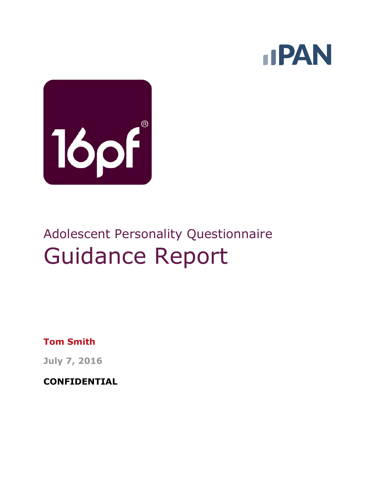



# Adolescent Personality Questionnaire Guidance Report

**Tom Smith**

**July 7, 2016**

**CONFIDENTIAL**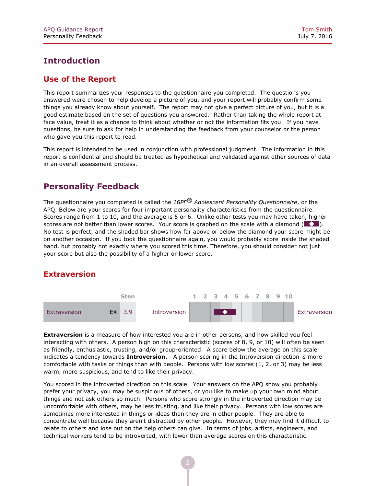# **Introduction**

#### **Use of the Report**

This report summarizes your responses to the questionnaire you completed. The questions you answered were chosen to help develop a picture of you, and your report will probably confirm some things you already know about yourself. The report may not give a perfect picture of you, but it is a good estimate based on the set of questions you answered. Rather than taking the whole report at face value, treat it as a chance to think about whether or not the information fits you. If you have questions, be sure to ask for help in understanding the feedback from your counselor or the person who gave you this report to read.

This report is intended to be used in conjunction with professional judgment. The information in this report is confidential and should be treated as hypothetical and validated against other sources of data in an overall assessment process.

# **Personality Feedback**

The questionnaire you completed is called the *16PF® Adolescent Personality Questionnaire*, or the APQ. Below are your scores for four important personality characteristics from the questionnaire. Scores range from 1 to 10, and the average is 5 or 6. Unlike other tests you may have taken, higher scores are not better than lower scores. Your score is graphed on the scale with a diamond  $($ No test is perfect, and the shaded bar shows how far above or below the diamond your score might be on another occasion. If you took the questionnaire again, you would probably score inside the shaded band, but probably not exactly where you scored this time. Therefore, you should consider not just your score but also the possibility of a higher or lower score.

## **Extraversion**



**Extraversion** is a measure of how interested you are in other persons, and how skilled you feel interacting with others. A person high on this characteristic (scores of 8, 9, or 10) will often be seen as friendly, enthusiastic, trusting, and/or group-oriented. A score below the average on this scale indicates a tendency towards **Introversion**. A person scoring in the Introversion direction is more comfortable with tasks or things than with people. Persons with low scores (1, 2, or 3) may be less warm, more suspicious, and tend to like their privacy.

You scored in the introverted direction on this scale. Your answers on the APQ show you probably prefer your privacy, you may be suspicious of others, or you like to make up your own mind about things and not ask others so much. Persons who score strongly in the introverted direction may be uncomfortable with others, may be less trusting, and like their privacy. Persons with low scores are sometimes more interested in things or ideas than they are in other people. They are able to concentrate well because they aren't distracted by other people. However, they may find it difficult to relate to others and lose out on the help others can give. In terms of jobs, artists, engineers, and technical workers tend to be introverted, with lower than average scores on this characteristic.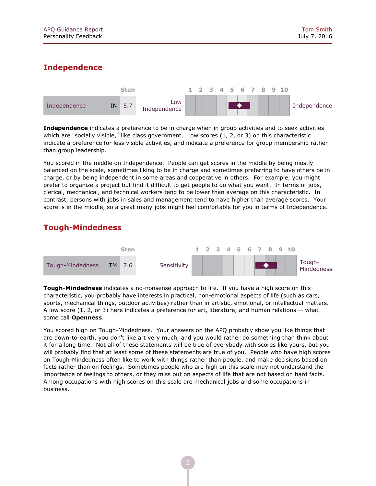## **Independence**



**Independence** indicates a preference to be in charge when in group activities and to seek activities which are "socially visible," like class government. Low scores (1, 2, or 3) on this characteristic indicate a preference for less visible activities, and indicate a preference for group membership rather than group leadership.

You scored in the middle on Independence. People can get scores in the middle by being mostly balanced on the scale, sometimes liking to be in charge and sometimes preferring to have others be in charge, or by being independent in some areas and cooperative in others. For example, you might prefer to organize a project but find it difficult to get people to do what you want. In terms of jobs, clerical, mechanical, and technical workers tend to be lower than average on this characteristic. In contrast, persons with jobs in sales and management tend to have higher than average scores. Your score is in the middle, so a great many jobs might feel comfortable for you in terms of Independence.

## **Tough-Mindedness**



**Tough-Mindedness** indicates a no-nonsense approach to life. If you have a high score on this characteristic, you probably have interests in practical, non-emotional aspects of life (such as cars, sports, mechanical things, outdoor activities) rather than in artistic, emotional, or intellectual matters. A low score (1, 2, or 3) here indicates a preference for art, literature, and human relations -- what some call **Openness**.

You scored high on Tough-Mindedness. Your answers on the APQ probably show you like things that are down-to-earth, you don't like art very much, and you would rather do something than think about it for a long time. Not all of these statements will be true of everybody with scores like yours, but you will probably find that at least some of these statements are true of you. People who have high scores on Tough-Mindedness often like to work with things rather than people, and make decisions based on facts rather than on feelings. Sometimes people who are high on this scale may not understand the importance of feelings to others, or they miss out on aspects of life that are not based on hard facts. Among occupations with high scores on this scale are mechanical jobs and some occupations in business.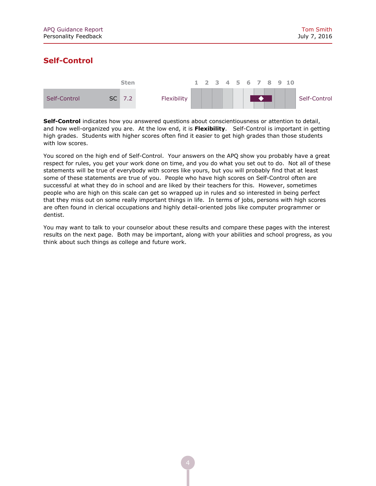# **Self-Control**



**Self-Control** indicates how you answered questions about conscientiousness or attention to detail, and how well-organized you are. At the low end, it is **Flexibility**. Self-Control is important in getting high grades. Students with higher scores often find it easier to get high grades than those students with low scores.

You scored on the high end of Self-Control. Your answers on the APQ show you probably have a great respect for rules, you get your work done on time, and you do what you set out to do. Not all of these statements will be true of everybody with scores like yours, but you will probably find that at least some of these statements are true of you. People who have high scores on Self-Control often are successful at what they do in school and are liked by their teachers for this. However, sometimes people who are high on this scale can get so wrapped up in rules and so interested in being perfect that they miss out on some really important things in life. In terms of jobs, persons with high scores are often found in clerical occupations and highly detail-oriented jobs like computer programmer or dentist.

You may want to talk to your counselor about these results and compare these pages with the interest results on the next page. Both may be important, along with your abilities and school progress, as you think about such things as college and future work.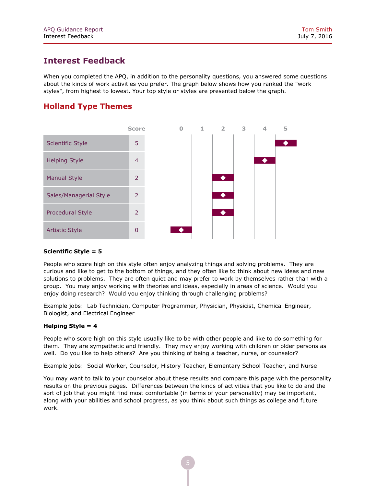# **Interest Feedback**

When you completed the APQ, in addition to the personality questions, you answered some questions about the kinds of work activities you prefer. The graph below shows how you ranked the "work styles", from highest to lowest. Your top style or styles are presented below the graph.

# **Holland Type Themes**



#### **Scientific Style = 5**

People who score high on this style often enjoy analyzing things and solving problems. They are curious and like to get to the bottom of things, and they often like to think about new ideas and new solutions to problems. They are often quiet and may prefer to work by themselves rather than with a group. You may enjoy working with theories and ideas, especially in areas of science. Would you enjoy doing research? Would you enjoy thinking through challenging problems?

Example jobs: Lab Technician, Computer Programmer, Physician, Physicist, Chemical Engineer, Biologist, and Electrical Engineer

#### **Helping Style = 4**

People who score high on this style usually like to be with other people and like to do something for them. They are sympathetic and friendly. They may enjoy working with children or older persons as well. Do you like to help others? Are you thinking of being a teacher, nurse, or counselor?

Example jobs: Social Worker, Counselor, History Teacher, Elementary School Teacher, and Nurse

You may want to talk to your counselor about these results and compare this page with the personality results on the previous pages. Differences between the kinds of activities that you like to do and the sort of job that you might find most comfortable (in terms of your personality) may be important, along with your abilities and school progress, as you think about such things as college and future work.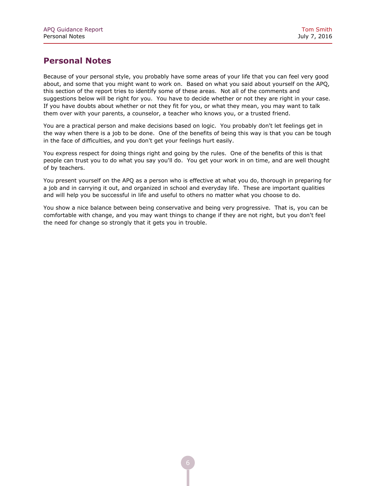# **Personal Notes**

Because of your personal style, you probably have some areas of your life that you can feel very good about, and some that you might want to work on. Based on what you said about yourself on the APQ, this section of the report tries to identify some of these areas. Not all of the comments and suggestions below will be right for you. You have to decide whether or not they are right in your case. If you have doubts about whether or not they fit for you, or what they mean, you may want to talk them over with your parents, a counselor, a teacher who knows you, or a trusted friend.

You are a practical person and make decisions based on logic. You probably don't let feelings get in the way when there is a job to be done. One of the benefits of being this way is that you can be tough in the face of difficulties, and you don't get your feelings hurt easily.

You express respect for doing things right and going by the rules. One of the benefits of this is that people can trust you to do what you say you'll do. You get your work in on time, and are well thought of by teachers.

You present yourself on the APQ as a person who is effective at what you do, thorough in preparing for a job and in carrying it out, and organized in school and everyday life. These are important qualities and will help you be successful in life and useful to others no matter what you choose to do.

You show a nice balance between being conservative and being very progressive. That is, you can be comfortable with change, and you may want things to change if they are not right, but you don't feel the need for change so strongly that it gets you in trouble.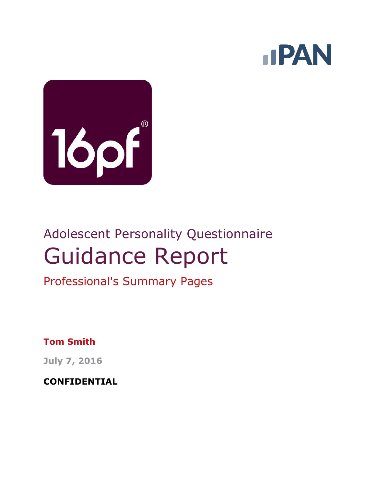



# Adolescent Personality Questionnaire Guidance Report

Professional's Summary Pages

**Tom Smith**

**July 7, 2016**

**CONFIDENTIAL**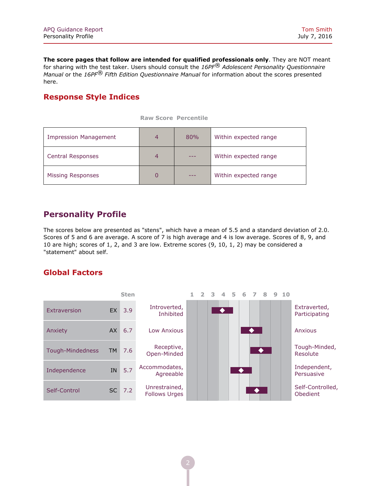**The score pages that follow are intended for qualified professionals only**. They are NOT meant for sharing with the test taker. Users should consult the *16PF® Adolescent Personality Questionnaire Manual* or the *16PF® Fifth Edition Questionnaire Manual* for information about the scores presented here.

#### **Response Style Indices**

| <b>Impression Management</b> | $\overline{a}$ | 80% | Within expected range |  |  |  |  |  |
|------------------------------|----------------|-----|-----------------------|--|--|--|--|--|
| Central Responses            | 4              |     | Within expected range |  |  |  |  |  |
| <b>Missing Responses</b>     | 0              |     | Within expected range |  |  |  |  |  |

# **Personality Profile**

The scores below are presented as "stens", which have a mean of 5.5 and a standard deviation of 2.0. Scores of 5 and 6 are average. A score of 7 is high average and 4 is low average. Scores of 8, 9, and 10 are high; scores of 1, 2, and 3 are low. Extreme scores (9, 10, 1, 2) may be considered a "statement" about self.

# **Global Factors**

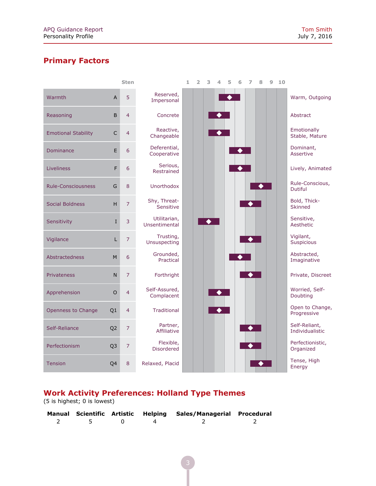## **Primary Factors**



# **Work Activity Preferences: Holland Type Themes**

(5 is highest; 0 is lowest)

|          |  | Manual Scientific Artistic Helping Sales/Managerial Procedural |  |  |  |
|----------|--|----------------------------------------------------------------|--|--|--|
| $\sim$ 5 |  |                                                                |  |  |  |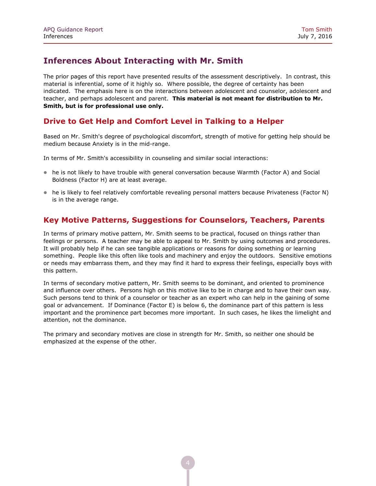# **Inferences About Interacting with Mr. Smith**

The prior pages of this report have presented results of the assessment descriptively. In contrast, this material is inferential, some of it highly so. Where possible, the degree of certainty has been indicated. The emphasis here is on the interactions between adolescent and counselor, adolescent and teacher, and perhaps adolescent and parent. **This material is not meant for distribution to Mr. Smith, but is for professional use only.**

## **Drive to Get Help and Comfort Level in Talking to a Helper**

Based on Mr. Smith's degree of psychological discomfort, strength of motive for getting help should be medium because Anxiety is in the mid-range.

In terms of Mr. Smith's accessibility in counseling and similar social interactions:

- he is not likely to have trouble with general conversation because Warmth (Factor A) and Social Boldness (Factor H) are at least average.
- he is likely to feel relatively comfortable revealing personal matters because Privateness (Factor N) is in the average range.

#### **Key Motive Patterns, Suggestions for Counselors, Teachers, Parents**

In terms of primary motive pattern, Mr. Smith seems to be practical, focused on things rather than feelings or persons. A teacher may be able to appeal to Mr. Smith by using outcomes and procedures. It will probably help if he can see tangible applications or reasons for doing something or learning something. People like this often like tools and machinery and enjoy the outdoors. Sensitive emotions or needs may embarrass them, and they may find it hard to express their feelings, especially boys with this pattern.

In terms of secondary motive pattern, Mr. Smith seems to be dominant, and oriented to prominence and influence over others. Persons high on this motive like to be in charge and to have their own way. Such persons tend to think of a counselor or teacher as an expert who can help in the gaining of some goal or advancement. If Dominance (Factor E) is below 6, the dominance part of this pattern is less important and the prominence part becomes more important. In such cases, he likes the limelight and attention, not the dominance.

The primary and secondary motives are close in strength for Mr. Smith, so neither one should be emphasized at the expense of the other.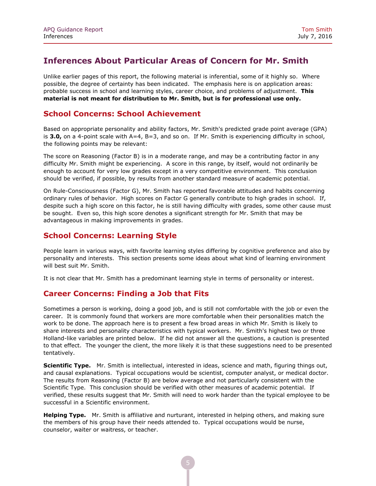# **Inferences About Particular Areas of Concern for Mr. Smith**

Unlike earlier pages of this report, the following material is inferential, some of it highly so. Where possible, the degree of certainty has been indicated. The emphasis here is on application areas: probable success in school and learning styles, career choice, and problems of adjustment. **This material is not meant for distribution to Mr. Smith, but is for professional use only.**

#### **School Concerns: School Achievement**

Based on appropriate personality and ability factors, Mr. Smith's predicted grade point average (GPA) is **3.0,** on a 4-point scale with A=4, B=3, and so on. If Mr. Smith is experiencing difficulty in school, the following points may be relevant:

The score on Reasoning (Factor B) is in a moderate range, and may be a contributing factor in any difficulty Mr. Smith might be experiencing. A score in this range, by itself, would not ordinarily be enough to account for very low grades except in a very competitive environment. This conclusion should be verified, if possible, by results from another standard measure of academic potential.

On Rule-Consciousness (Factor G), Mr. Smith has reported favorable attitudes and habits concerning ordinary rules of behavior. High scores on Factor G generally contribute to high grades in school. If, despite such a high score on this factor, he is still having difficulty with grades, some other cause must be sought. Even so, this high score denotes a significant strength for Mr. Smith that may be advantageous in making improvements in grades.

#### **School Concerns: Learning Style**

People learn in various ways, with favorite learning styles differing by cognitive preference and also by personality and interests. This section presents some ideas about what kind of learning environment will best suit Mr. Smith.

It is not clear that Mr. Smith has a predominant learning style in terms of personality or interest.

#### **Career Concerns: Finding a Job that Fits**

Sometimes a person is working, doing a good job, and is still not comfortable with the job or even the career. It is commonly found that workers are more comfortable when their personalities match the work to be done. The approach here is to present a few broad areas in which Mr. Smith is likely to share interests and personality characteristics with typical workers. Mr. Smith's highest two or three Holland-like variables are printed below. If he did not answer all the questions, a caution is presented to that effect. The younger the client, the more likely it is that these suggestions need to be presented tentatively.

**Scientific Type.** Mr. Smith is intellectual, interested in ideas, science and math, figuring things out, and causal explanations. Typical occupations would be scientist, computer analyst, or medical doctor. The results from Reasoning (Factor B) are below average and not particularly consistent with the Scientific Type. This conclusion should be verified with other measures of academic potential. If verified, these results suggest that Mr. Smith will need to work harder than the typical employee to be successful in a Scientific environment.

**Helping Type.** Mr. Smith is affiliative and nurturant, interested in helping others, and making sure the members of his group have their needs attended to. Typical occupations would be nurse, counselor, waiter or waitress, or teacher.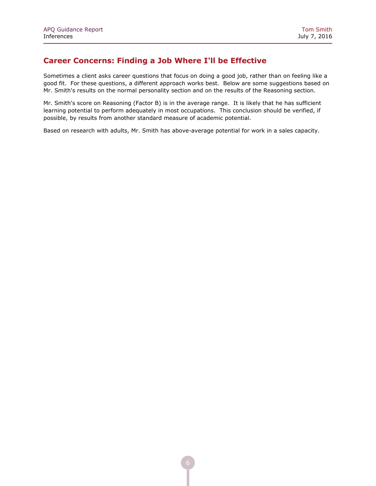#### **Career Concerns: Finding a Job Where I'll be Effective**

Sometimes a client asks career questions that focus on doing a good job, rather than on feeling like a good fit. For these questions, a different approach works best. Below are some suggestions based on Mr. Smith's results on the normal personality section and on the results of the Reasoning section.

Mr. Smith's score on Reasoning (Factor B) is in the average range. It is likely that he has sufficient learning potential to perform adequately in most occupations. This conclusion should be verified, if possible, by results from another standard measure of academic potential.

Based on research with adults, Mr. Smith has above-average potential for work in a sales capacity.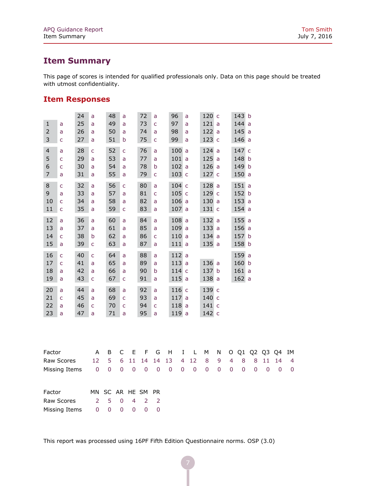# **Item Summary**

This page of scores is intended for qualified professionals only. Data on this page should be treated with utmost confidentiality.

#### **Item Responses**

|                      |                         |                      | 24 | a                | 48          | a            |             | 72             | a              |             | 96             | a            | 120 c     |   |             | 143 b       |             |                |             |                |
|----------------------|-------------------------|----------------------|----|------------------|-------------|--------------|-------------|----------------|----------------|-------------|----------------|--------------|-----------|---|-------------|-------------|-------------|----------------|-------------|----------------|
|                      | $\mathbf{1}$            | а                    | 25 | a                | 49          | a            |             | 73             | $\mathsf{C}$   |             | 97             | a            | 121a      |   |             | 144a        |             |                |             |                |
|                      | $\overline{2}$          | a                    | 26 | a                | 50          | a            |             | 74             | a              |             | 98             | a            | 122a      |   |             | 145a        |             |                |             |                |
|                      | 3                       | C                    | 27 | a                | 51          | b            |             | 75             | $\mathsf{C}$   |             | 99             | a            | 123 c     |   |             | 146a        |             |                |             |                |
|                      | $\overline{\mathbf{4}}$ | a                    | 28 | Ċ                | 52          | Ċ            |             | 76             | a              |             | 100            | a            | 124a      |   |             | 147 c       |             |                |             |                |
|                      | 5                       | Ċ                    | 29 | a                | 53          | a            |             | 77             | a              |             | 101            | a            | 125a      |   |             | 148 b       |             |                |             |                |
|                      | 6                       | Ċ                    | 30 | a                | 54          | a            |             | 78             | b              |             | 102            | a            | 126a      |   |             | 149 b       |             |                |             |                |
|                      | $\overline{7}$          | a                    | 31 | a                | 55          | a            |             | 79             | C              |             | 103 c          |              | 127 c     |   |             | 150a        |             |                |             |                |
|                      |                         |                      |    |                  |             |              |             |                |                |             |                |              |           |   |             |             |             |                |             |                |
|                      | 8                       | C                    | 32 | a                | 56          | Ċ            |             | 80             | a              |             | 104 с          |              | 128a      |   |             | 151a        |             |                |             |                |
|                      | 9                       | a                    | 33 | a                | 57          | a            |             | 81             | $\mathsf{C}$   |             | 105 c          |              | 129 c     |   |             | 152 b       |             |                |             |                |
|                      | 10                      | C                    | 34 | a                | 58          | a            |             | 82             | a              |             | 106a           |              | 130 a     |   |             | 153a        |             |                |             |                |
|                      | 11                      | $\mathsf{C}$         | 35 | a                | 59          | $\mathsf{C}$ |             | 83             | a              |             | 107a           |              | 131 c     |   |             | 154a        |             |                |             |                |
|                      | 12                      | a                    | 36 | a                | 60          | a            |             | 84             | a              |             | 108a           |              | 132a      |   |             | 155a        |             |                |             |                |
|                      | 13                      | a                    | 37 | a                | 61          | a            |             | 85             | a              |             | 109a           |              | 133 a     |   |             | 156 a       |             |                |             |                |
|                      | 14                      | C                    | 38 | b                | 62          | a            |             | 86             | $\mathsf{C}$   |             | 110a           |              | 134a      |   |             | 157 b       |             |                |             |                |
|                      | 15                      | a                    | 39 | C                | 63          | a            |             | 87             | a              |             | 111a           |              | 135 a     |   |             | 158 b       |             |                |             |                |
|                      | 16                      | C                    | 40 | Ċ                | 64          | a            |             | 88             | a              |             | 112a           |              |           |   |             | 159 a       |             |                |             |                |
|                      | 17                      | Ċ                    | 41 | a                | 65          | a            |             | 89             | a              |             | 113            | a            | 136a      |   |             | 160 b       |             |                |             |                |
|                      | 18                      | a                    | 42 | a                | 66          | a            |             | 90             | b              |             | 114 c          |              | 137 b     |   |             | 161a        |             |                |             |                |
|                      | 19                      | a                    | 43 | Ċ                | 67          | C            |             | 91             | a              |             | 115a           |              | 138 a     |   |             | 162a        |             |                |             |                |
|                      |                         |                      |    |                  |             |              |             |                |                |             |                |              |           |   |             |             |             |                |             |                |
|                      | 20                      | a                    | 44 | a                | 68          | a            |             | 92             | a              |             | 116            | $\mathsf{C}$ | 139 c     |   |             |             |             |                |             |                |
|                      | 21                      | C                    | 45 | a                | 69          | $\mathsf{C}$ |             | 93             | a              |             | 117            | a            | 140 с     |   |             |             |             |                |             |                |
|                      | 22                      | a                    | 46 | Ċ                | 70          | Ċ            |             | 94             | $\mathsf{C}$   |             | 118a           |              | 141 c     |   |             |             |             |                |             |                |
|                      | 23                      | a                    | 47 | a                | 71          | a            |             | 95             | a              |             | 119            | a            | 142 c     |   |             |             |             |                |             |                |
|                      |                         |                      |    |                  |             |              |             |                |                |             |                |              |           |   |             |             |             |                |             |                |
|                      | Factor                  |                      |    | A                | B           | $\mathsf C$  | E           | F              | G              | H           | Ι              | L            | М         | Ν | 0           |             | Q1 Q2 Q3    |                | Q4          | IM             |
|                      |                         | Raw Scores           |    | 12               | 5           | 6            | 11          | 14             | 14             | 13          | $\overline{4}$ | 12           | 8         | 9 | 4           | 8           | 8           | 11             | 14          | $\overline{4}$ |
|                      |                         | <b>Missing Items</b> |    | $\boldsymbol{0}$ | $\mathbf 0$ | $\mathsf 0$  | $\mathbf 0$ | $\mathbf 0$    | $\mathbf 0$    | $\mathbf 0$ | $\mathsf 0$    | $\mathbf 0$  | $\pmb{0}$ | 0 | $\mathbf 0$ | $\mathbf 0$ | $\mathbf 0$ | $\overline{0}$ | $\mathbf 0$ | $\overline{0}$ |
|                      |                         |                      |    |                  |             |              |             |                |                |             |                |              |           |   |             |             |             |                |             |                |
|                      | Factor                  |                      |    | MN               | <b>SC</b>   | <b>AR</b>    | HE          | <b>SM</b>      | <b>PR</b>      |             |                |              |           |   |             |             |             |                |             |                |
|                      |                         | Raw Scores           |    | $\overline{2}$   | 5           | $\mathbf 0$  | 4           | $\overline{2}$ | $\overline{2}$ |             |                |              |           |   |             |             |             |                |             |                |
| <b>Missing Items</b> |                         |                      | 0  | $\overline{0}$   | 0           | 0            | 0           | $\overline{0}$ |                |             |                |              |           |   |             |             |             |                |             |                |
|                      |                         |                      |    |                  |             |              |             |                |                |             |                |              |           |   |             |             |             |                |             |                |

This report was processed using 16PF Fifth Edition Questionnaire norms. OSP (3.0)